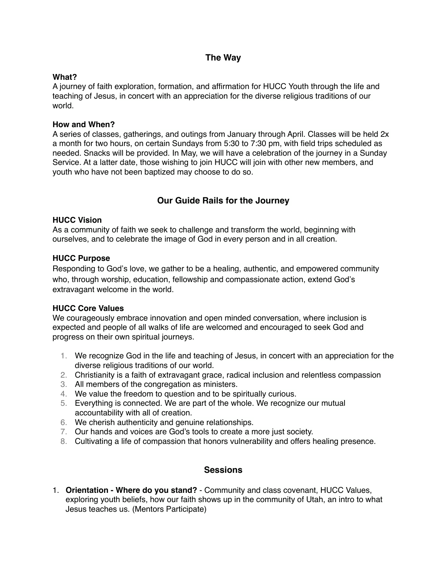## **The Way**

## **What?**

A journey of faith exploration, formation, and affirmation for HUCC Youth through the life and teaching of Jesus, in concert with an appreciation for the diverse religious traditions of our world.

#### **How and When?**

A series of classes, gatherings, and outings from January through April. Classes will be held 2x a month for two hours, on certain Sundays from 5:30 to 7:30 pm, with field trips scheduled as needed. Snacks will be provided. In May, we will have a celebration of the journey in a Sunday Service. At a latter date, those wishing to join HUCC will join with other new members, and youth who have not been baptized may choose to do so.

# **Our Guide Rails for the Journey**

#### **HUCC Vision**

As a community of faith we seek to challenge and transform the world, beginning with ourselves, and to celebrate the image of God in every person and in all creation.

#### **HUCC Purpose**

Responding to God's love, we gather to be a healing, authentic, and empowered community who, through worship, education, fellowship and compassionate action, extend God's extravagant welcome in the world.

## **HUCC Core Values**

We courageously embrace innovation and open minded conversation, where inclusion is expected and people of all walks of life are welcomed and encouraged to seek God and progress on their own spiritual journeys.

- 1. We recognize God in the life and teaching of Jesus, in concert with an appreciation for the diverse religious traditions of our world.
- 2. Christianity is a faith of extravagant grace, radical inclusion and relentless compassion
- 3. All members of the congregation as ministers.
- 4. We value the freedom to question and to be spiritually curious.
- 5. Everything is connected. We are part of the whole. We recognize our mutual accountability with all of creation.
- 6. We cherish authenticity and genuine relationships.
- 7. Our hands and voices are God's tools to create a more just society.
- 8. Cultivating a life of compassion that honors vulnerability and offers healing presence.

## **Sessions**

1. **Orientation - Where do you stand?** - Community and class covenant, HUCC Values, exploring youth beliefs, how our faith shows up in the community of Utah, an intro to what Jesus teaches us. (Mentors Participate)